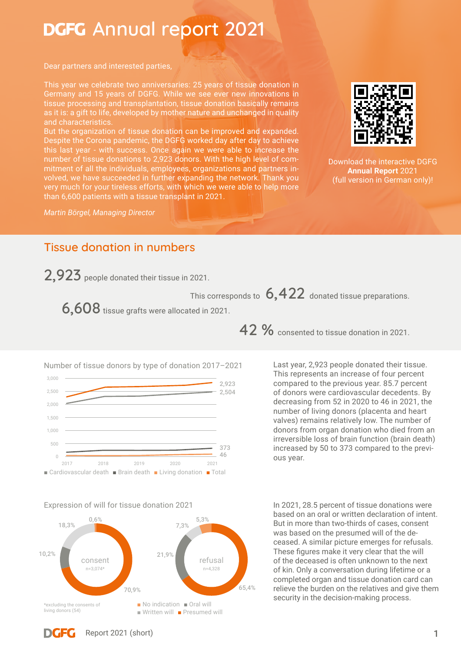# **DGFG** Annual report 2021

Dear partners and interested parties,

This year we celebrate two anniversaries: 25 years of tissue donation in Germany and 15 years of DGFG. While we see ever new innovations in tissue processing and transplantation, tissue donation basically remains as it is: a gift to life, developed by mother nature and unchanged in quality and characteristics.

But the organization of tissue donation can be improved and expanded. Despite the Corona pandemic, the DGFG worked day after day to achieve this last year - with success. Once again we were able to increase the number of tissue donations to 2,923 donors. With the high level of commitment of all the individuals, employees, organizations and partners involved, we have succeeded in further expanding the network. Thank you very much for your tireless efforts, with which we were able to help more than 6,600 patients with a tissue transplant in 2021.

*Martin Börgel, Managing Director*



[Download the interactive DGFG](https://gewebenetzwerk.de/downloads/)  **Annual Report** 2021 (full version in German only)!

## **Tissue donation in numbers**

**2,923** people donated their tissue in 2021.

This corresponds to  $\,6,422\,$  donated tissue preparations.

**6,608** tissue grafts were allocated in 2021.



#### Expression of will for tissue donation 2021



**42 %** consented to tissue donation in 2021.

Last year, 2,923 people donated their tissue. This represents an increase of four percent compared to the previous year. 85.7 percent of donors were cardiovascular decedents. By decreasing from 52 in 2020 to 46 in 2021, the number of living donors (placenta and heart valves) remains relatively low. The number of donors from organ donation who died from an irreversible loss of brain function (brain death) increased by 50 to 373 compared to the previous year.

In 2021, 28.5 percent of tissue donations were based on an oral or written declaration of intent. But in more than two-thirds of cases, consent was based on the presumed will of the deceased. A similar picture emerges for refusals. These figures make it very clear that the will of the deceased is often unknown to the next of kin. Only a conversation during lifetime or a completed organ and tissue donation card can relieve the burden on the relatives and give them security in the decision-making process.